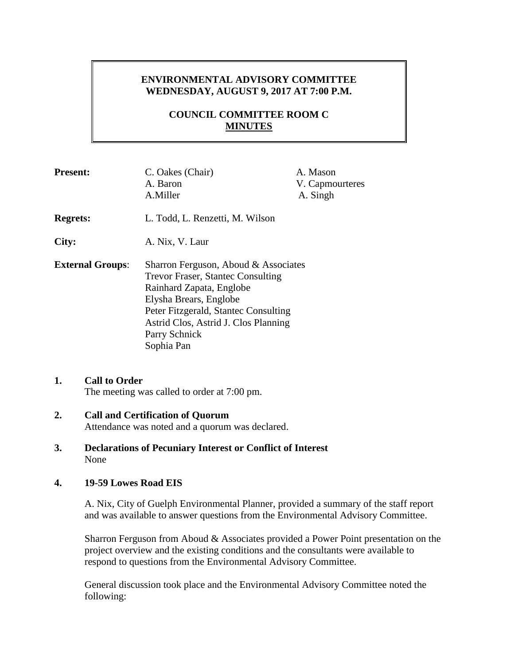# **ENVIRONMENTAL ADVISORY COMMITTEE WEDNESDAY, AUGUST 9, 2017 AT 7:00 P.M.**

# **COUNCIL COMMITTEE ROOM C MINUTES**

| <b>Present:</b>         | C. Oakes (Chair)<br>A. Baron<br>A.Miller                                                                                                                                                                                                              | A. Mason<br>V. Capmourteres<br>A. Singh |
|-------------------------|-------------------------------------------------------------------------------------------------------------------------------------------------------------------------------------------------------------------------------------------------------|-----------------------------------------|
| <b>Regrets:</b>         | L. Todd, L. Renzetti, M. Wilson                                                                                                                                                                                                                       |                                         |
| City:                   | A. Nix, V. Laur                                                                                                                                                                                                                                       |                                         |
| <b>External Groups:</b> | Sharron Ferguson, Aboud & Associates<br><b>Trevor Fraser, Stantec Consulting</b><br>Rainhard Zapata, Englobe<br>Elysha Brears, Englobe<br>Peter Fitzgerald, Stantec Consulting<br>Astrid Clos, Astrid J. Clos Planning<br>Parry Schnick<br>Sophia Pan |                                         |

### **1. Call to Order** The meeting was called to order at 7:00 pm.

#### **2. Call and Certification of Quorum** Attendance was noted and a quorum was declared.

**3. Declarations of Pecuniary Interest or Conflict of Interest** None

## **4. 19-59 Lowes Road EIS**

A. Nix, City of Guelph Environmental Planner, provided a summary of the staff report and was available to answer questions from the Environmental Advisory Committee.

Sharron Ferguson from Aboud & Associates provided a Power Point presentation on the project overview and the existing conditions and the consultants were available to respond to questions from the Environmental Advisory Committee.

General discussion took place and the Environmental Advisory Committee noted the following: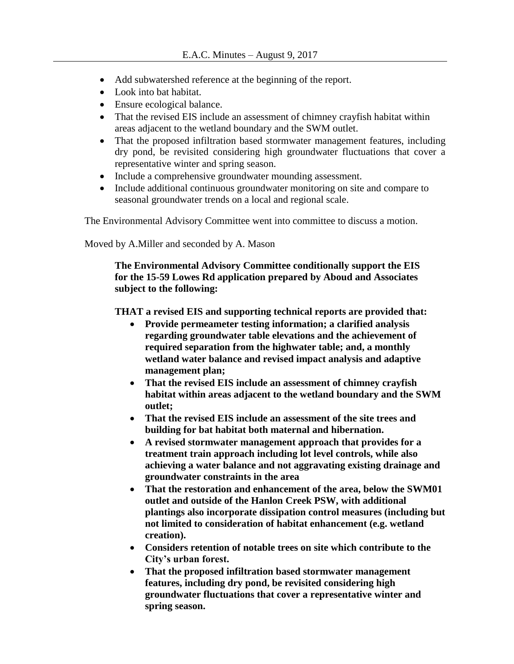- Add subwatershed reference at the beginning of the report.
- Look into bat habitat.
- Ensure ecological balance.
- That the revised EIS include an assessment of chimney crayfish habitat within areas adjacent to the wetland boundary and the SWM outlet.
- That the proposed infiltration based stormwater management features, including dry pond, be revisited considering high groundwater fluctuations that cover a representative winter and spring season.
- Include a comprehensive groundwater mounding assessment.
- Include additional continuous groundwater monitoring on site and compare to seasonal groundwater trends on a local and regional scale.

The Environmental Advisory Committee went into committee to discuss a motion.

Moved by A.Miller and seconded by A. Mason

**The Environmental Advisory Committee conditionally support the EIS for the 15-59 Lowes Rd application prepared by Aboud and Associates subject to the following:**

**THAT a revised EIS and supporting technical reports are provided that:**

- **Provide permeameter testing information; a clarified analysis regarding groundwater table elevations and the achievement of required separation from the highwater table; and, a monthly wetland water balance and revised impact analysis and adaptive management plan;**
- **That the revised EIS include an assessment of chimney crayfish habitat within areas adjacent to the wetland boundary and the SWM outlet;**
- **That the revised EIS include an assessment of the site trees and building for bat habitat both maternal and hibernation.**
- **A revised stormwater management approach that provides for a treatment train approach including lot level controls, while also achieving a water balance and not aggravating existing drainage and groundwater constraints in the area**
- **That the restoration and enhancement of the area, below the SWM01 outlet and outside of the Hanlon Creek PSW, with additional plantings also incorporate dissipation control measures (including but not limited to consideration of habitat enhancement (e.g. wetland creation).**
- **Considers retention of notable trees on site which contribute to the City's urban forest.**
- **That the proposed infiltration based stormwater management features, including dry pond, be revisited considering high groundwater fluctuations that cover a representative winter and spring season.**